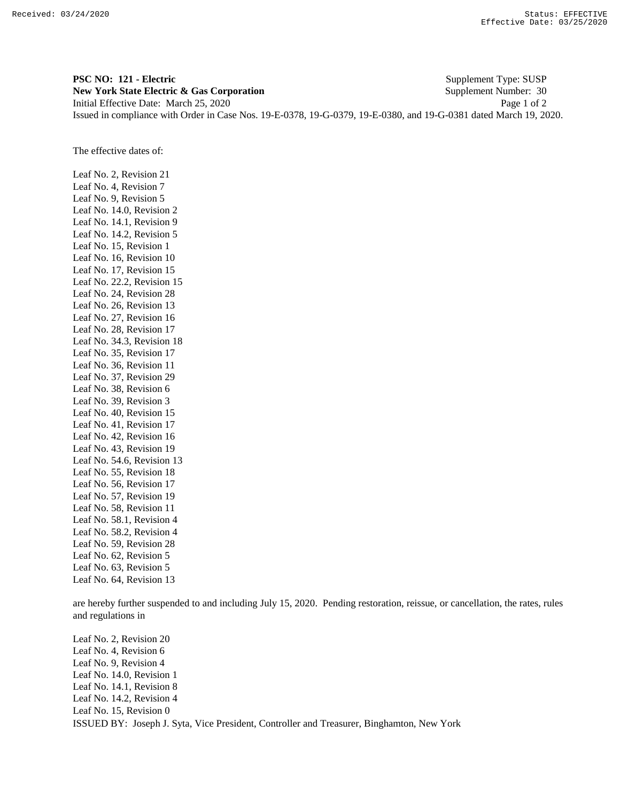**PSC NO: 121 - Electric** Supplement Type: SUSP **New York State Electric & Gas Corporation** Supplement Number: 30 Initial Effective Date: March 25, 2020 Page 1 of 2 Issued in compliance with Order in Case Nos. 19-E-0378, 19-G-0379, 19-E-0380, and 19-G-0381 dated March 19, 2020.

The effective dates of:

Leaf No. 2, Revision 21 Leaf No. 4, Revision 7 Leaf No. 9, Revision 5 Leaf No. 14.0, Revision 2 Leaf No. 14.1, Revision 9 Leaf No. 14.2, Revision 5 Leaf No. 15, Revision 1 Leaf No. 16, Revision 10 Leaf No. 17, Revision 15 Leaf No. 22.2, Revision 15 Leaf No. 24, Revision 28 Leaf No. 26, Revision 13 Leaf No. 27, Revision 16 Leaf No. 28, Revision 17 Leaf No. 34.3, Revision 18 Leaf No. 35, Revision 17 Leaf No. 36, Revision 11 Leaf No. 37, Revision 29 Leaf No. 38, Revision 6 Leaf No. 39, Revision 3 Leaf No. 40, Revision 15 Leaf No. 41, Revision 17 Leaf No. 42, Revision 16 Leaf No. 43, Revision 19 Leaf No. 54.6, Revision 13 Leaf No. 55, Revision 18 Leaf No. 56, Revision 17 Leaf No. 57, Revision 19 Leaf No. 58, Revision 11 Leaf No. 58.1, Revision 4 Leaf No. 58.2, Revision 4 Leaf No. 59, Revision 28 Leaf No. 62, Revision 5 Leaf No. 63, Revision 5 Leaf No. 64, Revision 13

are hereby further suspended to and including July 15, 2020. Pending restoration, reissue, or cancellation, the rates, rules and regulations in

ISSUED BY: Joseph J. Syta, Vice President, Controller and Treasurer, Binghamton, New York Leaf No. 2, Revision 20 Leaf No. 4, Revision 6 Leaf No. 9, Revision 4 Leaf No. 14.0, Revision 1 Leaf No. 14.1, Revision 8 Leaf No. 14.2, Revision 4 Leaf No. 15, Revision 0